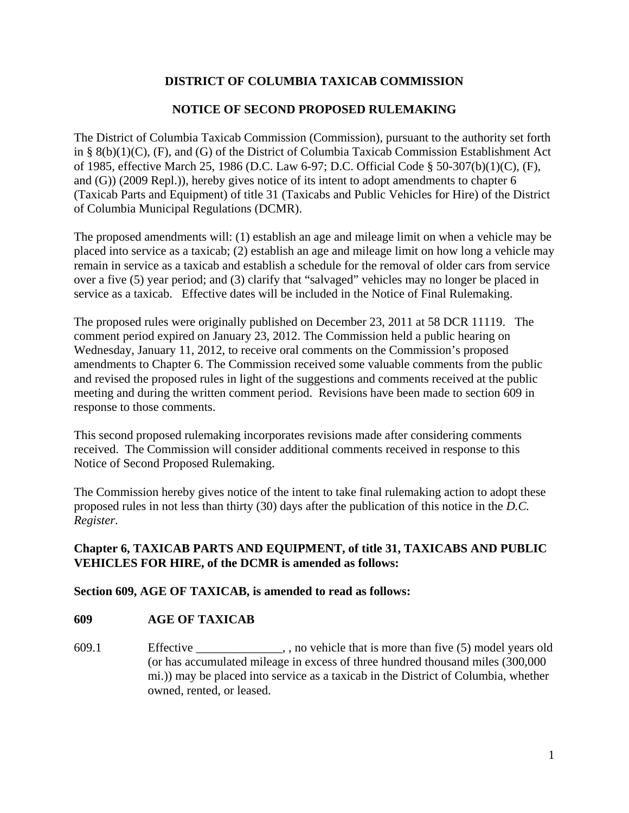# **DISTRICT OF COLUMBIA TAXICAB COMMISSION**

## **NOTICE OF SECOND PROPOSED RULEMAKING**

The District of Columbia Taxicab Commission (Commission), pursuant to the authority set forth in § 8(b)(1)(C), (F), and (G) of the District of Columbia Taxicab Commission Establishment Act of 1985, effective March 25, 1986 (D.C. Law 6-97; D.C. Official Code § 50-307(b)(1)(C), (F), and (G)) (2009 Repl.)), hereby gives notice of its intent to adopt amendments to chapter 6 (Taxicab Parts and Equipment) of title 31 (Taxicabs and Public Vehicles for Hire) of the District of Columbia Municipal Regulations (DCMR).

The proposed amendments will: (1) establish an age and mileage limit on when a vehicle may be placed into service as a taxicab; (2) establish an age and mileage limit on how long a vehicle may remain in service as a taxicab and establish a schedule for the removal of older cars from service over a five (5) year period; and (3) clarify that "salvaged" vehicles may no longer be placed in service as a taxicab. Effective dates will be included in the Notice of Final Rulemaking.

The proposed rules were originally published on December 23, 2011 at 58 DCR 11119. The comment period expired on January 23, 2012. The Commission held a public hearing on Wednesday, January 11, 2012, to receive oral comments on the Commission's proposed amendments to Chapter 6. The Commission received some valuable comments from the public and revised the proposed rules in light of the suggestions and comments received at the public meeting and during the written comment period. Revisions have been made to section 609 in response to those comments.

This second proposed rulemaking incorporates revisions made after considering comments received. The Commission will consider additional comments received in response to this Notice of Second Proposed Rulemaking.

The Commission hereby gives notice of the intent to take final rulemaking action to adopt these proposed rules in not less than thirty (30) days after the publication of this notice in the *D.C. Register*.

## **Chapter 6, TAXICAB PARTS AND EQUIPMENT, of title 31, TAXICABS AND PUBLIC VEHICLES FOR HIRE, of the DCMR is amended as follows:**

### **Section 609, AGE OF TAXICAB, is amended to read as follows:**

### **609 AGE OF TAXICAB**

609.1 Effective \_\_\_\_\_\_\_\_\_\_\_\_\_\_, , no vehicle that is more than five (5) model years old (or has accumulated mileage in excess of three hundred thousand miles (300,000 mi.)) may be placed into service as a taxicab in the District of Columbia, whether owned, rented, or leased.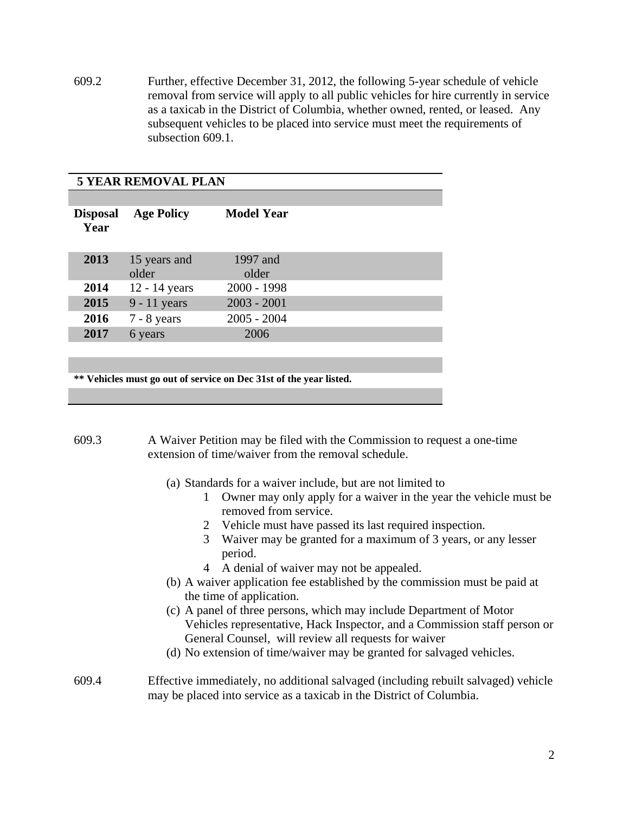609.2 Further, effective December 31, 2012, the following 5-year schedule of vehicle removal from service will apply to all public vehicles for hire currently in service as a taxicab in the District of Columbia, whether owned, rented, or leased. Any subsequent vehicles to be placed into service must meet the requirements of subsection 609.1.

### **5 YEAR REMOVAL PLAN**

| <b>Disposal</b><br>Year | <b>Age Policy</b>     | <b>Model Year</b> |  |
|-------------------------|-----------------------|-------------------|--|
| 2013                    | 15 years and<br>older | 1997 and<br>older |  |
| 2014                    | 12 - 14 years         | $2000 - 1998$     |  |
| 2015                    | 9 - 11 years          | $2003 - 2001$     |  |
| 2016                    | $7 - 8$ years         | $2005 - 2004$     |  |
| 2017                    | 6 years               | 2006              |  |

**\*\* Vehicles must go out of service on Dec 31st of the year listed.**

- 609.3 A Waiver Petition may be filed with the Commission to request a one-time extension of time/waiver from the removal schedule.
	- (a) Standards for a waiver include, but are not limited to
		- 1 Owner may only apply for a waiver in the year the vehicle must be removed from service.
		- 2 Vehicle must have passed its last required inspection.
		- 3 Waiver may be granted for a maximum of 3 years, or any lesser period.
		- 4 A denial of waiver may not be appealed.
	- (b) A waiver application fee established by the commission must be paid at the time of application.
	- (c) A panel of three persons, which may include Department of Motor Vehicles representative, Hack Inspector, and a Commission staff person or General Counsel, will review all requests for waiver
	- (d) No extension of time/waiver may be granted for salvaged vehicles.

#### 609.4 Effective immediately, no additional salvaged (including rebuilt salvaged) vehicle may be placed into service as a taxicab in the District of Columbia.